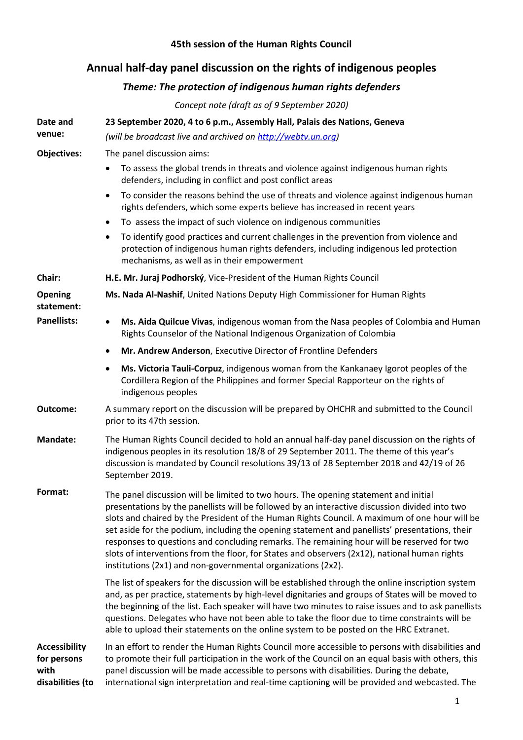## **45th session of the Human Rights Council**

## **Annual half-day panel discussion on the rights of indigenous peoples**

## *Theme: The protection of indigenous human rights defenders*

*Concept note (draft as of 9 September 2020)*

| Date and                                                        | 23 September 2020, 4 to 6 p.m., Assembly Hall, Palais des Nations, Geneva                                                                                                                                                                                                                                                                                                                                                                                                                                                                                                                                                                                |
|-----------------------------------------------------------------|----------------------------------------------------------------------------------------------------------------------------------------------------------------------------------------------------------------------------------------------------------------------------------------------------------------------------------------------------------------------------------------------------------------------------------------------------------------------------------------------------------------------------------------------------------------------------------------------------------------------------------------------------------|
| venue:                                                          | (will be broadcast live and archived on http://webtv.un.org)                                                                                                                                                                                                                                                                                                                                                                                                                                                                                                                                                                                             |
| Objectives:                                                     | The panel discussion aims:                                                                                                                                                                                                                                                                                                                                                                                                                                                                                                                                                                                                                               |
|                                                                 | To assess the global trends in threats and violence against indigenous human rights<br>٠<br>defenders, including in conflict and post conflict areas                                                                                                                                                                                                                                                                                                                                                                                                                                                                                                     |
|                                                                 | To consider the reasons behind the use of threats and violence against indigenous human<br>$\bullet$<br>rights defenders, which some experts believe has increased in recent years                                                                                                                                                                                                                                                                                                                                                                                                                                                                       |
|                                                                 | To assess the impact of such violence on indigenous communities<br>$\bullet$                                                                                                                                                                                                                                                                                                                                                                                                                                                                                                                                                                             |
|                                                                 | To identify good practices and current challenges in the prevention from violence and<br>$\bullet$<br>protection of indigenous human rights defenders, including indigenous led protection<br>mechanisms, as well as in their empowerment                                                                                                                                                                                                                                                                                                                                                                                                                |
| Chair:                                                          | H.E. Mr. Juraj Podhorský, Vice-President of the Human Rights Council                                                                                                                                                                                                                                                                                                                                                                                                                                                                                                                                                                                     |
| <b>Opening</b><br>statement:                                    | Ms. Nada Al-Nashif, United Nations Deputy High Commissioner for Human Rights                                                                                                                                                                                                                                                                                                                                                                                                                                                                                                                                                                             |
| <b>Panellists:</b>                                              | Ms. Aida Quilcue Vivas, indigenous woman from the Nasa peoples of Colombia and Human<br>$\bullet$<br>Rights Counselor of the National Indigenous Organization of Colombia                                                                                                                                                                                                                                                                                                                                                                                                                                                                                |
|                                                                 | Mr. Andrew Anderson, Executive Director of Frontline Defenders<br>٠                                                                                                                                                                                                                                                                                                                                                                                                                                                                                                                                                                                      |
|                                                                 | Ms. Victoria Tauli-Corpuz, indigenous woman from the Kankanaey Igorot peoples of the<br>٠<br>Cordillera Region of the Philippines and former Special Rapporteur on the rights of<br>indigenous peoples                                                                                                                                                                                                                                                                                                                                                                                                                                                   |
| Outcome:                                                        | A summary report on the discussion will be prepared by OHCHR and submitted to the Council<br>prior to its 47th session.                                                                                                                                                                                                                                                                                                                                                                                                                                                                                                                                  |
| <b>Mandate:</b>                                                 | The Human Rights Council decided to hold an annual half-day panel discussion on the rights of<br>indigenous peoples in its resolution 18/8 of 29 September 2011. The theme of this year's<br>discussion is mandated by Council resolutions 39/13 of 28 September 2018 and 42/19 of 26<br>September 2019.                                                                                                                                                                                                                                                                                                                                                 |
| Format:                                                         | The panel discussion will be limited to two hours. The opening statement and initial<br>presentations by the panellists will be followed by an interactive discussion divided into two<br>slots and chaired by the President of the Human Rights Council. A maximum of one hour will be<br>set aside for the podium, including the opening statement and panellists' presentations, their<br>responses to questions and concluding remarks. The remaining hour will be reserved for two<br>slots of interventions from the floor, for States and observers (2x12), national human rights<br>institutions (2x1) and non-governmental organizations (2x2). |
|                                                                 | The list of speakers for the discussion will be established through the online inscription system<br>and, as per practice, statements by high-level dignitaries and groups of States will be moved to<br>the beginning of the list. Each speaker will have two minutes to raise issues and to ask panellists<br>questions. Delegates who have not been able to take the floor due to time constraints will be<br>able to upload their statements on the online system to be posted on the HRC Extranet.                                                                                                                                                  |
| <b>Accessibility</b><br>for persons<br>with<br>disabilities (to | In an effort to render the Human Rights Council more accessible to persons with disabilities and<br>to promote their full participation in the work of the Council on an equal basis with others, this<br>panel discussion will be made accessible to persons with disabilities. During the debate,<br>international sign interpretation and real-time captioning will be provided and webcasted. The                                                                                                                                                                                                                                                    |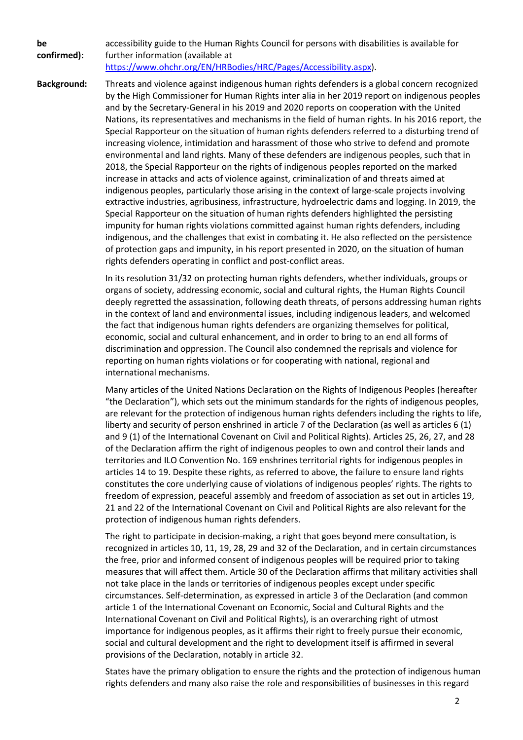**be confirmed):** accessibility guide to the Human Rights Council for persons with disabilities is available for further information (available at [https://www.ohchr.org/EN/HRBodies/HRC/Pages/Accessibility.aspx\)](https://www.ohchr.org/EN/HRBodies/HRC/Pages/Accessibility.aspx).

**Background:** Threats and violence against indigenous human rights defenders is a global concern recognized by the High Commissioner for Human Rights inter alia in her 2019 report on indigenous peoples and by the Secretary-General in his 2019 and 2020 reports on cooperation with the United Nations, its representatives and mechanisms in the field of human rights. In his 2016 report, the Special Rapporteur on the situation of human rights defenders referred to a disturbing trend of increasing violence, intimidation and harassment of those who strive to defend and promote environmental and land rights. Many of these defenders are indigenous peoples, such that in 2018, the Special Rapporteur on the rights of indigenous peoples reported on the marked increase in attacks and acts of violence against, criminalization of and threats aimed at indigenous peoples, particularly those arising in the context of large-scale projects involving extractive industries, agribusiness, infrastructure, hydroelectric dams and logging. In 2019, the Special Rapporteur on the situation of human rights defenders highlighted the persisting impunity for human rights violations committed against human rights defenders, including indigenous, and the challenges that exist in combating it. He also reflected on the persistence of protection gaps and impunity, in his report presented in 2020, on the situation of human rights defenders operating in conflict and post-conflict areas.

> In its resolution 31/32 on protecting human rights defenders, whether individuals, groups or organs of society, addressing economic, social and cultural rights, the Human Rights Council deeply regretted the assassination, following death threats, of persons addressing human rights in the context of land and environmental issues, including indigenous leaders, and welcomed the fact that indigenous human rights defenders are organizing themselves for political, economic, social and cultural enhancement, and in order to bring to an end all forms of discrimination and oppression. The Council also condemned the reprisals and violence for reporting on human rights violations or for cooperating with national, regional and international mechanisms.

> Many articles of the United Nations Declaration on the Rights of Indigenous Peoples (hereafter "the Declaration"), which sets out the minimum standards for the rights of indigenous peoples, are relevant for the protection of indigenous human rights defenders including the rights to life, liberty and security of person enshrined in article 7 of the Declaration (as well as articles 6 (1) and 9 (1) of the International Covenant on Civil and Political Rights). Articles 25, 26, 27, and 28 of the Declaration affirm the right of indigenous peoples to own and control their lands and territories and ILO Convention No. 169 enshrines territorial rights for indigenous peoples in articles 14 to 19. Despite these rights, as referred to above, the failure to ensure land rights constitutes the core underlying cause of violations of indigenous peoples' rights. The rights to freedom of expression, peaceful assembly and freedom of association as set out in articles 19, 21 and 22 of the International Covenant on Civil and Political Rights are also relevant for the protection of indigenous human rights defenders.

> The right to participate in decision-making, a right that goes beyond mere consultation, is recognized in articles 10, 11, 19, 28, 29 and 32 of the Declaration, and in certain circumstances the free, prior and informed consent of indigenous peoples will be required prior to taking measures that will affect them. Article 30 of the Declaration affirms that military activities shall not take place in the lands or territories of indigenous peoples except under specific circumstances. Self-determination, as expressed in article 3 of the Declaration (and common article 1 of the International Covenant on Economic, Social and Cultural Rights and the International Covenant on Civil and Political Rights), is an overarching right of utmost importance for indigenous peoples, as it affirms their right to freely pursue their economic, social and cultural development and the right to development itself is affirmed in several provisions of the Declaration, notably in article 32.

> States have the primary obligation to ensure the rights and the protection of indigenous human rights defenders and many also raise the role and responsibilities of businesses in this regard